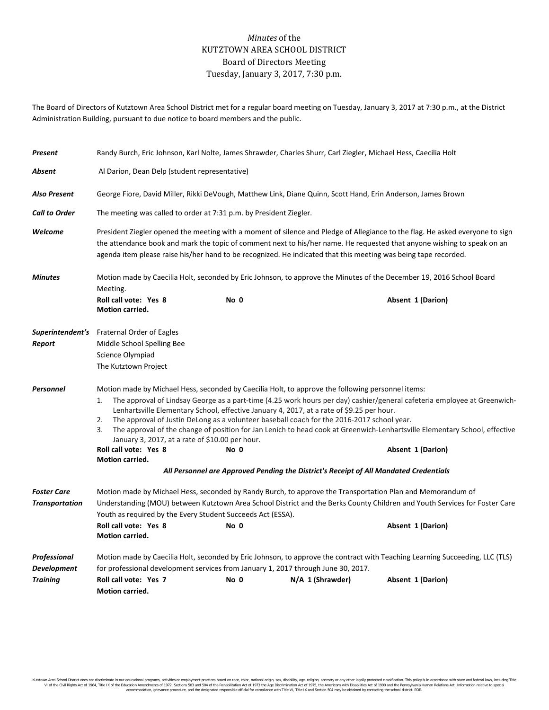## *Minutes* of the KUTZTOWN AREA SCHOOL DISTRICT Board of Directors Meeting Tuesday, January 3, 2017, 7:30 p.m.

The Board of Directors of Kutztown Area School District met for a regular board meeting on Tuesday, January 3, 2017 at 7:30 p.m., at the District Administration Building, pursuant to due notice to board members and the public.

| Present                                               | Randy Burch, Eric Johnson, Karl Nolte, James Shrawder, Charles Shurr, Carl Ziegler, Michael Hess, Caecilia Holt                                                                                                                                                                                                                                                                                                                                                                                                                                                                                        |      |                  |                   |  |  |
|-------------------------------------------------------|--------------------------------------------------------------------------------------------------------------------------------------------------------------------------------------------------------------------------------------------------------------------------------------------------------------------------------------------------------------------------------------------------------------------------------------------------------------------------------------------------------------------------------------------------------------------------------------------------------|------|------------------|-------------------|--|--|
| Absent                                                | Al Darion, Dean Delp (student representative)                                                                                                                                                                                                                                                                                                                                                                                                                                                                                                                                                          |      |                  |                   |  |  |
| <b>Also Present</b>                                   | George Fiore, David Miller, Rikki DeVough, Matthew Link, Diane Quinn, Scott Hand, Erin Anderson, James Brown                                                                                                                                                                                                                                                                                                                                                                                                                                                                                           |      |                  |                   |  |  |
| <b>Call to Order</b>                                  | The meeting was called to order at 7:31 p.m. by President Ziegler.                                                                                                                                                                                                                                                                                                                                                                                                                                                                                                                                     |      |                  |                   |  |  |
| Welcome                                               | President Ziegler opened the meeting with a moment of silence and Pledge of Allegiance to the flag. He asked everyone to sign<br>the attendance book and mark the topic of comment next to his/her name. He requested that anyone wishing to speak on an<br>agenda item please raise his/her hand to be recognized. He indicated that this meeting was being tape recorded.                                                                                                                                                                                                                            |      |                  |                   |  |  |
| <b>Minutes</b>                                        | Motion made by Caecilia Holt, seconded by Eric Johnson, to approve the Minutes of the December 19, 2016 School Board<br>Meeting.                                                                                                                                                                                                                                                                                                                                                                                                                                                                       |      |                  |                   |  |  |
|                                                       | Roll call vote: Yes 8<br><b>Motion carried.</b>                                                                                                                                                                                                                                                                                                                                                                                                                                                                                                                                                        | No 0 |                  | Absent 1 (Darion) |  |  |
| Report                                                | <b>Superintendent's</b> Fraternal Order of Eagles<br>Middle School Spelling Bee<br>Science Olympiad<br>The Kutztown Project                                                                                                                                                                                                                                                                                                                                                                                                                                                                            |      |                  |                   |  |  |
| Personnel                                             | Motion made by Michael Hess, seconded by Caecilia Holt, to approve the following personnel items:                                                                                                                                                                                                                                                                                                                                                                                                                                                                                                      |      |                  |                   |  |  |
|                                                       | The approval of Lindsay George as a part-time (4.25 work hours per day) cashier/general cafeteria employee at Greenwich-<br>1.<br>Lenhartsville Elementary School, effective January 4, 2017, at a rate of \$9.25 per hour.<br>The approval of Justin DeLong as a volunteer baseball coach for the 2016-2017 school year.<br>2.<br>3.<br>The approval of the change of position for Jan Lenich to head cook at Greenwich-Lenhartsville Elementary School, effective<br>January 3, 2017, at a rate of \$10.00 per hour.<br>Roll call vote: Yes 8<br>No 0<br>Absent 1 (Darion)<br><b>Motion carried.</b> |      |                  |                   |  |  |
|                                                       | All Personnel are Approved Pending the District's Receipt of All Mandated Credentials                                                                                                                                                                                                                                                                                                                                                                                                                                                                                                                  |      |                  |                   |  |  |
| <b>Foster Care</b><br><b>Transportation</b>           | Motion made by Michael Hess, seconded by Randy Burch, to approve the Transportation Plan and Memorandum of<br>Understanding (MOU) between Kutztown Area School District and the Berks County Children and Youth Services for Foster Care<br>Youth as required by the Every Student Succeeds Act (ESSA).<br>Roll call vote: Yes 8<br>No 0<br>Absent 1 (Darion)<br>Motion carried.                                                                                                                                                                                                                       |      |                  |                   |  |  |
| Professional<br><b>Development</b><br><b>Training</b> | Motion made by Caecilia Holt, seconded by Eric Johnson, to approve the contract with Teaching Learning Succeeding, LLC (TLS)<br>for professional development services from January 1, 2017 through June 30, 2017.<br>Roll call vote: Yes 7                                                                                                                                                                                                                                                                                                                                                             |      |                  |                   |  |  |
|                                                       | <b>Motion carried.</b>                                                                                                                                                                                                                                                                                                                                                                                                                                                                                                                                                                                 | No 0 | N/A 1 (Shrawder) | Absent 1 (Darion) |  |  |